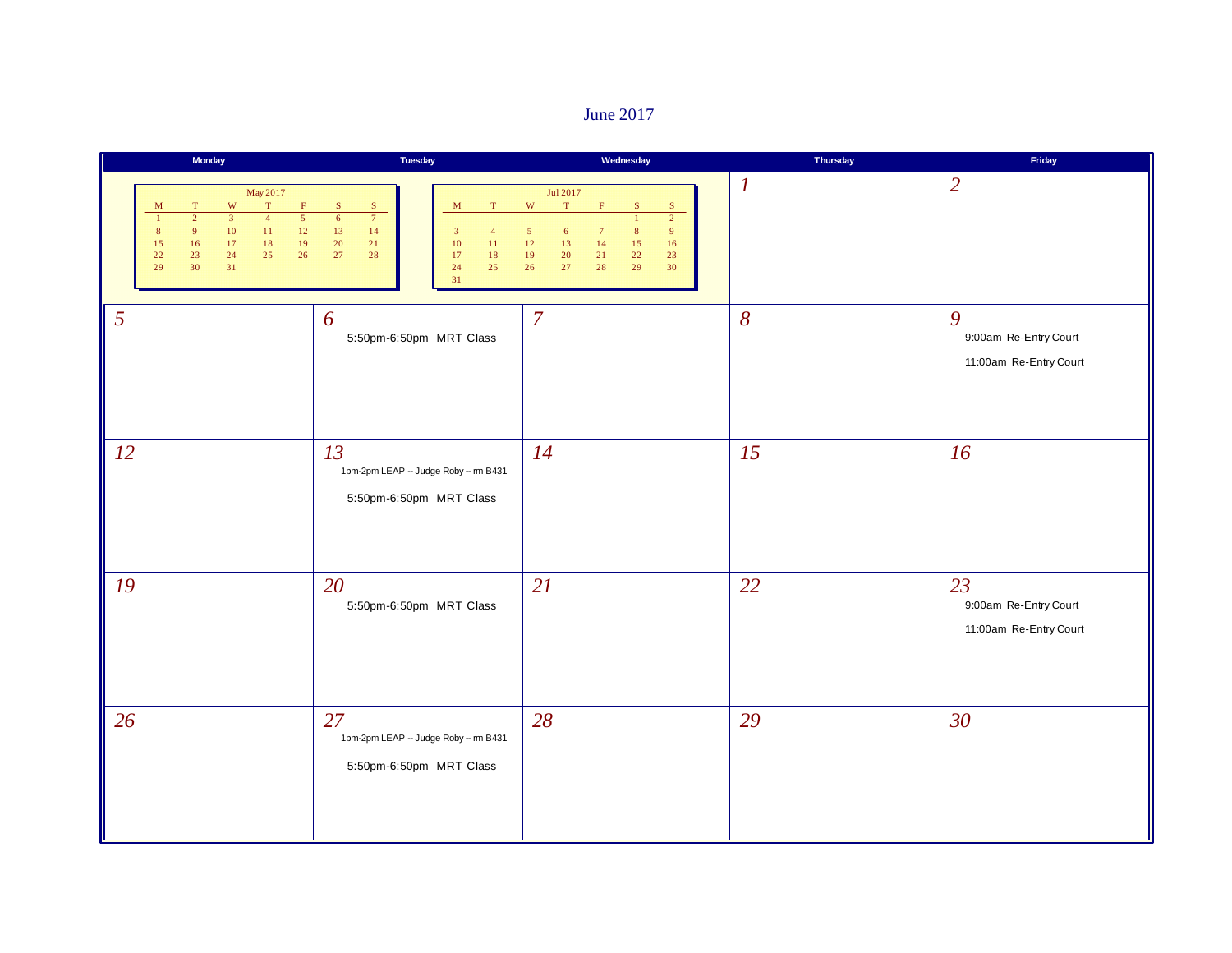#### June 2017

|                | Monday                                                                                                                                                                                                                                                                                                | Tuesday                                                                                                                                                                                                         | Wednesday                                                                                                                                                                                                                                                                                   | Thursday         | Friday                                                |
|----------------|-------------------------------------------------------------------------------------------------------------------------------------------------------------------------------------------------------------------------------------------------------------------------------------------------------|-----------------------------------------------------------------------------------------------------------------------------------------------------------------------------------------------------------------|---------------------------------------------------------------------------------------------------------------------------------------------------------------------------------------------------------------------------------------------------------------------------------------------|------------------|-------------------------------------------------------|
|                | May 2017<br>$\mathbf{W}$<br>$\mathbf T$<br>$\mathbf F$<br>$\mathbf M$<br>T<br>$\overline{3}$<br>$\overline{5}$<br>$\overline{2}$<br>$\overline{4}$<br>$\mathbf{1}$<br>9 <sup>°</sup><br>$10\,$<br>$11\,$<br>$12\,$<br>8<br>16<br>17<br>19<br>18<br>15<br>22<br>23<br>24<br>25<br>26<br>29<br>30<br>31 | ${\bf S}$<br>$\mathbf S$<br>$\mathbf M$<br>$\mathbf T$<br>$\overline{7}$<br>$6\overline{6}$<br>$13\,$<br>14<br>$\mathbf{3}$<br>$\overline{4}$<br>20<br>21<br>10<br>11<br>27<br>18<br>28<br>17<br>24<br>25<br>31 | Jul 2017<br>$\ensuremath{\text{W}}$<br>$\mathbf T$<br>F<br>$\mathbf S$<br>S.<br>$\overline{2}$<br>$\mathbf{1}$<br>$\sqrt{5}$<br>$6\phantom{.}6$<br>$\overline{7}$<br>$\bf 8$<br>9<br>$12\,$<br>13<br>14<br>15<br>16<br>$22\,$<br>$19\,$<br>$20\,$<br>21<br>23<br>29<br>26<br>27<br>28<br>30 | $\boldsymbol{l}$ | $\overline{2}$                                        |
| $\overline{5}$ |                                                                                                                                                                                                                                                                                                       | 6<br>5:50pm-6:50pm MRT Class                                                                                                                                                                                    | $\overline{7}$                                                                                                                                                                                                                                                                              | $\delta$         | 9<br>9:00am Re-Entry Court<br>11:00am Re-Entry Court  |
| <i>12</i>      |                                                                                                                                                                                                                                                                                                       | 13<br>1pm-2pm LEAP - Judge Roby -- m B431<br>5:50pm-6:50pm MRT Class                                                                                                                                            | 14                                                                                                                                                                                                                                                                                          | 15               | 16                                                    |
| 19             |                                                                                                                                                                                                                                                                                                       | 20<br>5:50pm-6:50pm MRT Class                                                                                                                                                                                   | 21                                                                                                                                                                                                                                                                                          | 22               | 23<br>9:00am Re-Entry Court<br>11:00am Re-Entry Court |
| 26             |                                                                                                                                                                                                                                                                                                       | 27<br>1pm-2pm LEAP - Judge Roby -- m B431<br>5:50pm-6:50pm MRT Class                                                                                                                                            | 28                                                                                                                                                                                                                                                                                          | 29               | 30                                                    |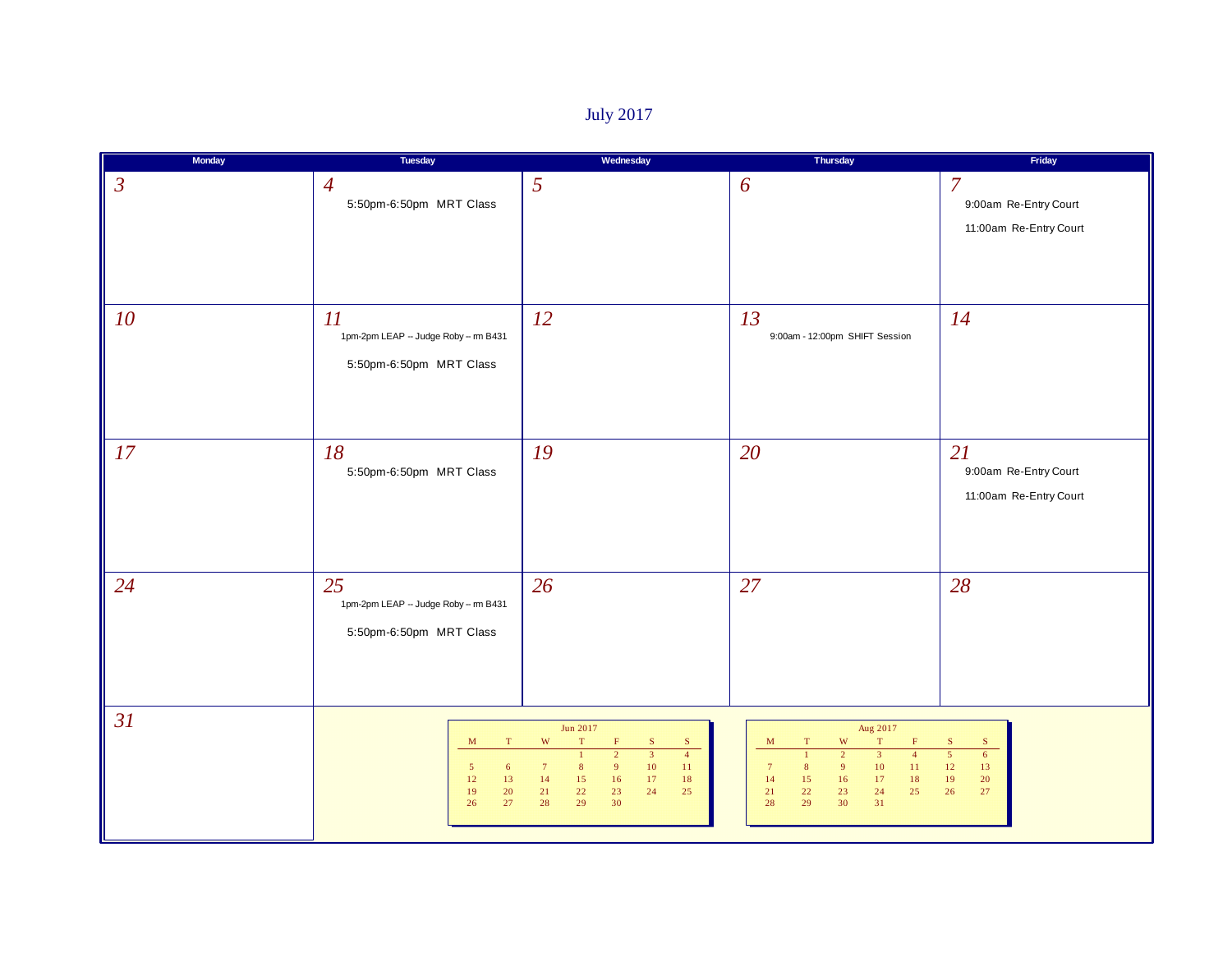# July 2017

| <b>Monday</b>  | Tuesday                                                                                                 | Wednesday                                                                                                                                                                                                                                                            | Thursday                                                                                                                                                                                                                                                                                                          | Friday                                                                              |
|----------------|---------------------------------------------------------------------------------------------------------|----------------------------------------------------------------------------------------------------------------------------------------------------------------------------------------------------------------------------------------------------------------------|-------------------------------------------------------------------------------------------------------------------------------------------------------------------------------------------------------------------------------------------------------------------------------------------------------------------|-------------------------------------------------------------------------------------|
| $\mathfrak{Z}$ | $\overline{4}$<br>5:50pm-6:50pm MRT Class                                                               | 5                                                                                                                                                                                                                                                                    | 6                                                                                                                                                                                                                                                                                                                 | $\overline{7}$<br>9:00am Re-Entry Court<br>11:00am Re-Entry Court                   |
| 10             | 11<br>1pm-2pm LEAP -- Judge Roby -- m B431<br>5:50pm-6:50pm MRT Class                                   | 12                                                                                                                                                                                                                                                                   | 13<br>9:00am - 12:00pm SHIFT Session                                                                                                                                                                                                                                                                              | 14                                                                                  |
| 17             | 18<br>5:50pm-6:50pm MRT Class                                                                           | 19                                                                                                                                                                                                                                                                   | 20                                                                                                                                                                                                                                                                                                                | 21<br>9:00am Re-Entry Court<br>11:00am Re-Entry Court                               |
| 24             | 25<br>1pm-2pm LEAP - Judge Roby -- m B431<br>5:50pm-6:50pm MRT Class                                    | 26                                                                                                                                                                                                                                                                   | 27                                                                                                                                                                                                                                                                                                                | 28                                                                                  |
| 31             | $\mathbf M$<br>$\mathbf T$<br>$5\phantom{.0}$<br>$\epsilon$<br>$12\,$<br>13<br>19<br>20<br>$27\,$<br>26 | Jun 2017<br>W<br>T<br>$\mathbf S$<br>$\mathbf S$<br>$\overline{3}$<br>$\overline{4}$<br>$\overline{2}$<br>$\mathbf{1}$<br>10<br>$7\phantom{.0}$<br>9<br>8 <sup>2</sup><br>$ 11\rangle$<br>14<br>15<br>16<br>17<br>18<br>23<br>24<br>21<br>22<br>25<br>28<br>29<br>30 | Aug 2017<br>$\mathbf T$<br>$\ensuremath{\text{W}}$<br>$\mathbf M$<br>$\mathbf T$<br>F<br>$\overline{2}$<br>$\overline{3}$<br>$\overline{4}$<br>$\mathbf{1}$<br>9<br>10<br>$11\,$<br>$7\phantom{.0}$<br>8 <sup>1</sup><br>14<br>15<br>16<br>17<br>$18\,$<br>$25\,$<br>21<br>22<br>23<br>24<br>29<br>30<br>31<br>28 | ${\bf S}$<br>$\mathbf S$<br>$\overline{5}$<br>6<br>12<br>13<br>19<br>20<br>26<br>27 |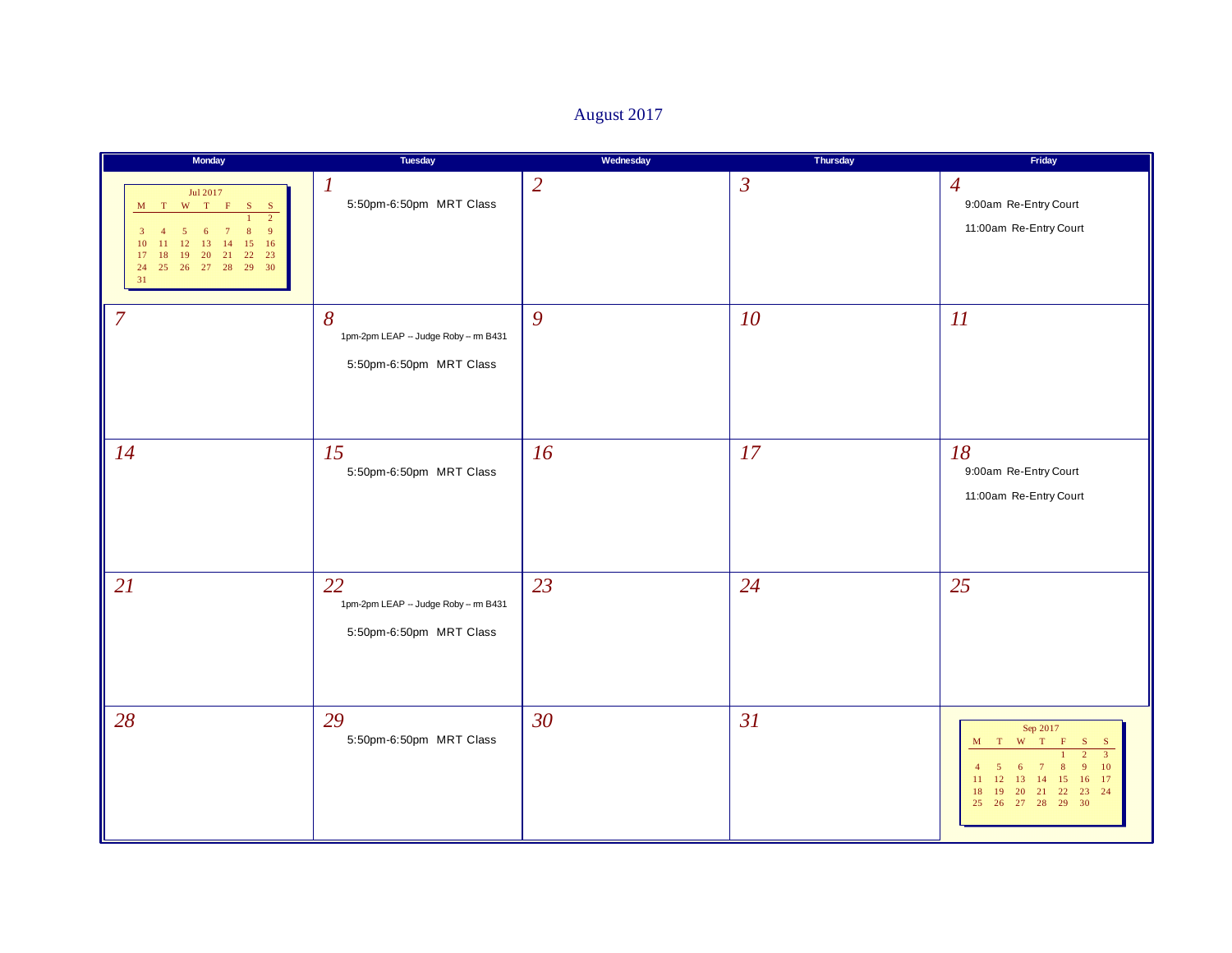# August 2017

| Monday                                                                                                                                                                        | Tuesday                                                              | Wednesday      | Thursday       | Friday                                                                                                                                                                                                                                                                                   |
|-------------------------------------------------------------------------------------------------------------------------------------------------------------------------------|----------------------------------------------------------------------|----------------|----------------|------------------------------------------------------------------------------------------------------------------------------------------------------------------------------------------------------------------------------------------------------------------------------------------|
| Jul 2017<br>M T W T F<br>$S$ $S$<br>$\overline{2}$<br>9<br>3<br>13<br>16<br>10<br>12<br>14<br>15<br>22 23<br>17<br>19<br>20<br> 21 <br>18<br>24  25  26  27  28  29  30<br>31 | $\boldsymbol{l}$<br>5:50pm-6:50pm MRT Class                          | $\overline{2}$ | $\mathfrak{Z}$ | $\overline{4}$<br>9:00am Re-Entry Court<br>11:00am Re-Entry Court                                                                                                                                                                                                                        |
| $\overline{7}$                                                                                                                                                                | 8<br>1pm-2pm LEAP -- Judge Roby -- m B431<br>5:50pm-6:50pm MRT Class | 9              | 10             | 11                                                                                                                                                                                                                                                                                       |
| 14                                                                                                                                                                            | 15<br>5:50pm-6:50pm MRT Class                                        | 16             | 17             | 18<br>9:00am Re-Entry Court<br>11:00am Re-Entry Court                                                                                                                                                                                                                                    |
| 21                                                                                                                                                                            | 22<br>1pm-2pm LEAP - Judge Roby - m B431<br>5:50pm-6:50pm MRT Class  | 23             | 24             | 25                                                                                                                                                                                                                                                                                       |
| 28                                                                                                                                                                            | 29<br>5:50pm-6:50pm MRT Class                                        | 30             | 31             | Sep 2017<br>$\begin{array}{cccc} \mathbf{M} & \mathbf{T} & \mathbf{W} & \mathbf{T} \end{array}$<br>$\,$ F<br>S.<br>$\mathbf{S}$<br>$\overline{3}$<br>10<br>-6<br>16 17<br>12<br>13<br>11<br>14<br>15<br> 21 <br>23 24<br>19<br><b>20</b><br>22<br>18<br>29<br>30<br>26<br>27<br>28<br>25 |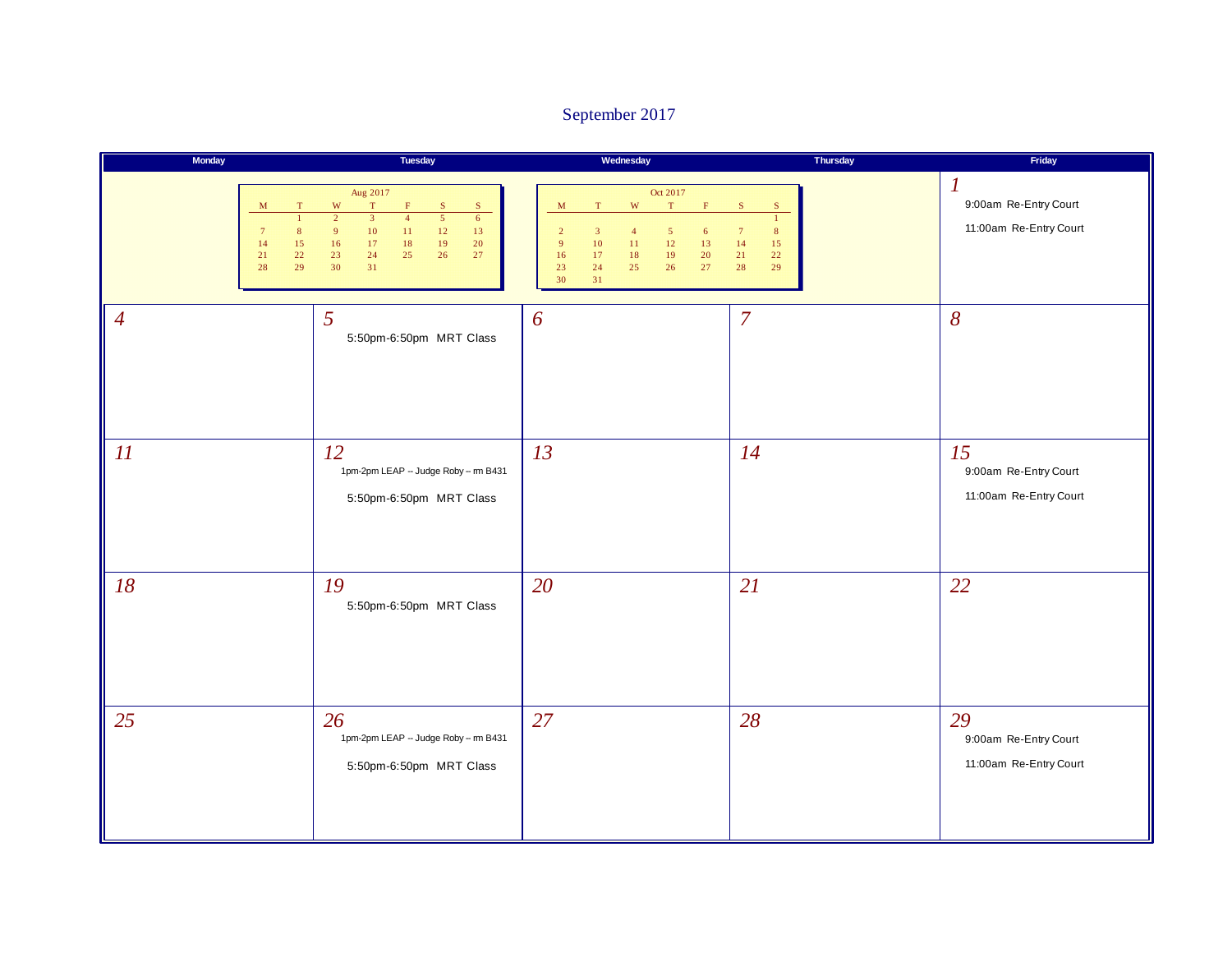### September 2017

| Monday                                                                   | Tuesday                                                                                                                                                                                                                                                                                                  | Wednesday                                                                                                                                                                                                                                                                                   | Thursday                                                                                                     | Friday                                                                       |
|--------------------------------------------------------------------------|----------------------------------------------------------------------------------------------------------------------------------------------------------------------------------------------------------------------------------------------------------------------------------------------------------|---------------------------------------------------------------------------------------------------------------------------------------------------------------------------------------------------------------------------------------------------------------------------------------------|--------------------------------------------------------------------------------------------------------------|------------------------------------------------------------------------------|
| M<br>T<br>$\mathbf{1}$<br>7<br>8<br>14<br>15<br>$21\,$<br>22<br>28<br>29 | Aug 2017<br>$\mathbf W$<br>T<br>$\mathbf F$<br>$\mathbf S$<br>S<br>$\overline{2}$<br>$\overline{3}$<br>$\overline{5}$<br>$\overline{4}$<br>$6\overline{6}$<br>$\overline{9}$<br>$10\,$<br>$11\,$<br>$12$<br>$13\,$<br>$16$<br>$17\,$<br>18<br>19<br>20<br>$23\,$<br>27<br>24<br>$25\,$<br>26<br>30<br>31 | Oct 2017<br>$\mathbf{W}$<br>$\mathbf T$<br>$\mathbf T$<br>$\mathbf F$<br>M<br>$\overline{2}$<br>$\overline{3}$<br>$\overline{4}$<br>$\mathfrak{s}$<br>$6\phantom{.}6$<br>10<br>11<br>12<br>9 <sup>°</sup><br>13<br>19<br>16<br>17<br>18<br>20<br>$23\,$<br>25<br>26<br>27<br>24<br>30<br>31 | $\mathbf S$<br>$\mathbf S$<br>$\mathbf{1}$<br>$\bf 8$<br>$7\phantom{.0}$<br>14<br>15<br>21<br>22<br>28<br>29 | $\boldsymbol{\mathit{1}}$<br>9:00am Re-Entry Court<br>11:00am Re-Entry Court |
| $\overline{4}$                                                           | 5<br>5:50pm-6:50pm MRT Class                                                                                                                                                                                                                                                                             | 6                                                                                                                                                                                                                                                                                           | $\overline{7}$                                                                                               | $\delta$                                                                     |
| 11                                                                       | 12<br>1pm-2pm LEAP - Judge Roby -- m B431<br>5:50pm-6:50pm MRT Class                                                                                                                                                                                                                                     | 13                                                                                                                                                                                                                                                                                          | 14                                                                                                           | 15<br>9:00am Re-Entry Court<br>11:00am Re-Entry Court                        |
| 18                                                                       | 19<br>5:50pm-6:50pm MRT Class                                                                                                                                                                                                                                                                            | 20                                                                                                                                                                                                                                                                                          | 21                                                                                                           | 22                                                                           |
| 25                                                                       | 26<br>1pm-2pm LEAP - Judge Roby -- m B431<br>5:50pm-6:50pm MRT Class                                                                                                                                                                                                                                     | 27                                                                                                                                                                                                                                                                                          | 28                                                                                                           | 29<br>9:00am Re-Entry Court<br>11:00am Re-Entry Court                        |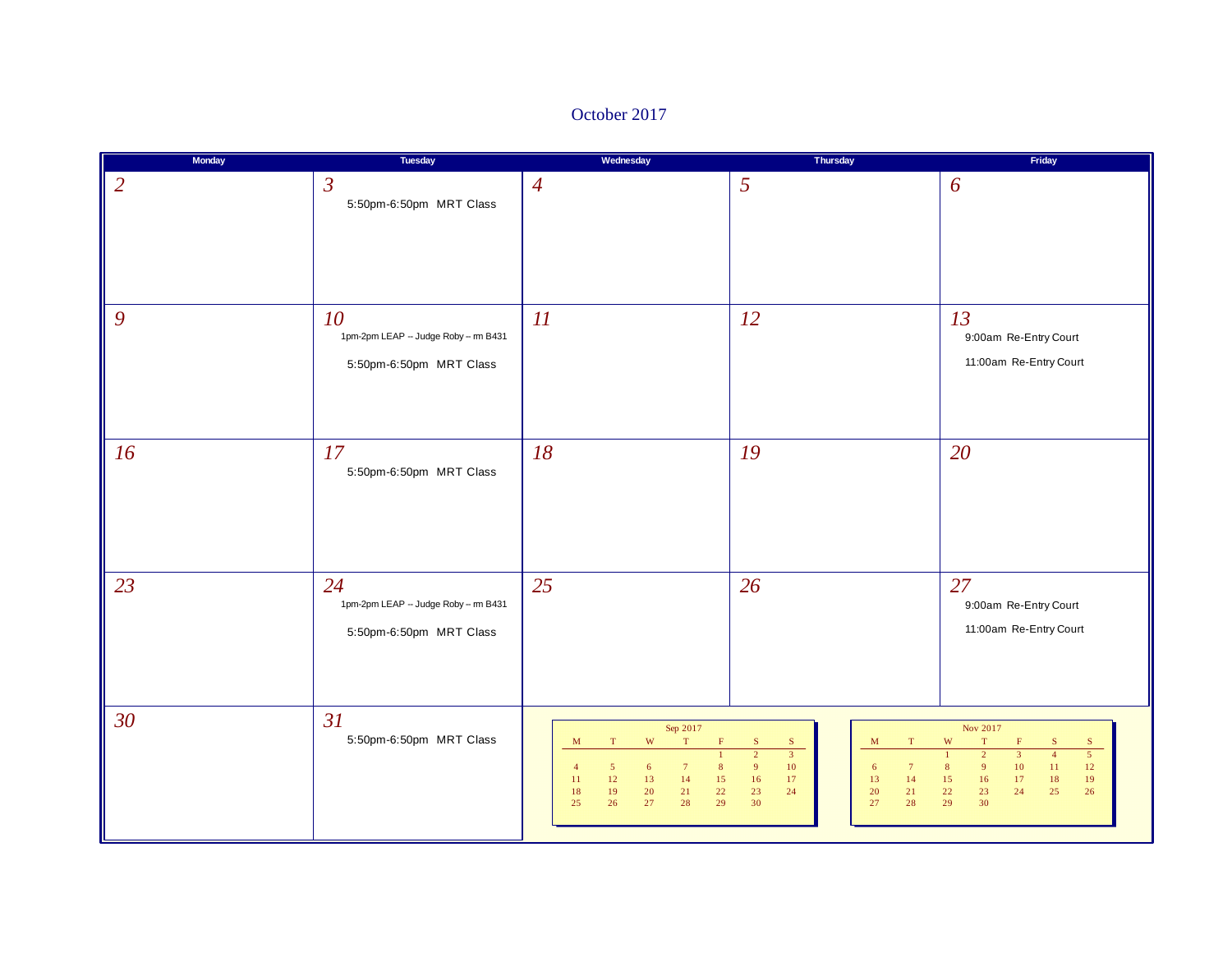### October 2017

| Monday          | Tuesday                                                               | Wednesday                                                                                                                                                                                                                                                                 | Thursday                                                                                                                                                                                            | Friday                                                                                                                                                                                                                                                                                        |
|-----------------|-----------------------------------------------------------------------|---------------------------------------------------------------------------------------------------------------------------------------------------------------------------------------------------------------------------------------------------------------------------|-----------------------------------------------------------------------------------------------------------------------------------------------------------------------------------------------------|-----------------------------------------------------------------------------------------------------------------------------------------------------------------------------------------------------------------------------------------------------------------------------------------------|
| $\overline{2}$  | $\mathfrak{Z}$<br>5:50pm-6:50pm MRT Class                             | $\overline{4}$                                                                                                                                                                                                                                                            | 5                                                                                                                                                                                                   | 6                                                                                                                                                                                                                                                                                             |
| 9               | 10<br>1pm-2pm LEAP - Judge Roby - m B431<br>5:50pm-6:50pm MRT Class   | 11                                                                                                                                                                                                                                                                        | <i>12</i>                                                                                                                                                                                           | 13<br>9:00am Re-Entry Court<br>11:00am Re-Entry Court                                                                                                                                                                                                                                         |
| 16              | 17<br>5:50pm-6:50pm MRT Class                                         | 18                                                                                                                                                                                                                                                                        | 19                                                                                                                                                                                                  | 20                                                                                                                                                                                                                                                                                            |
| 23              | 24<br>1pm-2pm LEAP -- Judge Roby -- m B431<br>5:50pm-6:50pm MRT Class | 25                                                                                                                                                                                                                                                                        | 26                                                                                                                                                                                                  | 27<br>9:00am Re-Entry Court<br>11:00am Re-Entry Court                                                                                                                                                                                                                                         |
| 30 <sup>°</sup> | 31<br>5:50pm-6:50pm MRT Class                                         | Sep 2017<br>$\mathbf W$<br>$\mathbf T$<br>$\mathbf T$<br>$\mathbf M$<br>Ë<br>$\mathbf{1}$<br>$\bf 8$<br>$5\phantom{.0}$<br>6<br>$7\phantom{.0}$<br>$\overline{4}$<br>$12\,$<br>$13$<br>14<br>$15\,$<br>11<br>19<br>$22\,$<br>20<br>21<br>18<br>27<br>28<br>29<br>25<br>26 | ${\bf S}$<br>${\bf S}$<br>$\mathbf M$<br>$\mathbf T$<br>$\overline{2}$<br>$\overline{3}$<br>9<br>10<br>6<br>$7\phantom{.0}$<br>$13\,$<br>16<br>17<br>$14$<br>23<br>20<br>24<br>21<br>30<br>27<br>28 | Nov 2017<br>$\mathbf W$<br>$\mathbf T$<br>$\mathbf F$<br>${\bf S}$<br>S<br>$\overline{2}$<br>$\overline{5}$<br>$\overline{3}$<br>$\overline{4}$<br>$\mathbf{1}$<br>9 <sup>°</sup><br>$10\,$<br>8<br>11<br>$12 \,$<br>15<br>16<br>17<br>$19\,$<br>18<br>23<br>22<br>24<br>25<br>26<br>29<br>30 |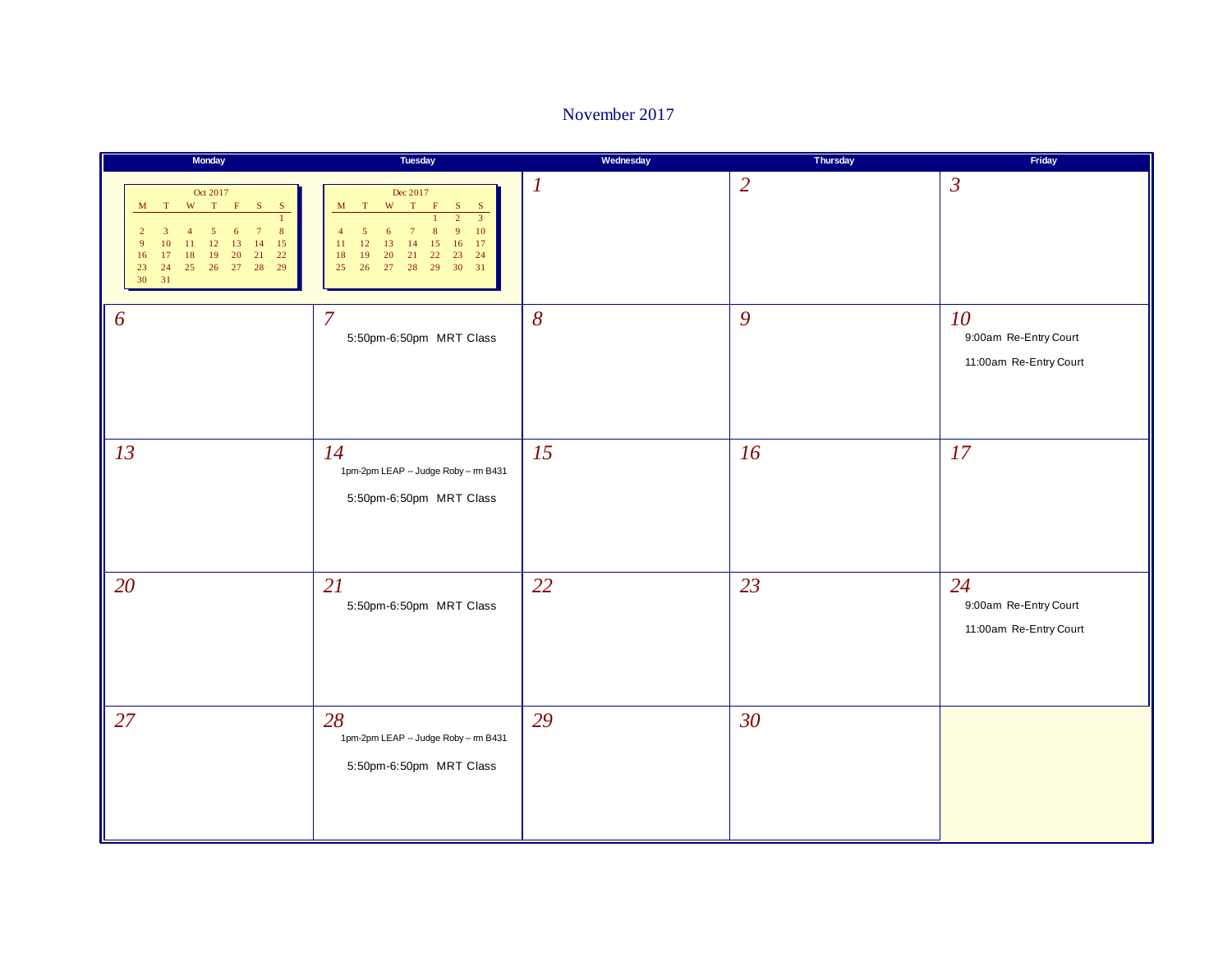### November 2017

| Monday                                                                                                                                                                   | Tuesday                                                                                                                                                                                                       | Wednesday        | Thursday       | Friday                                                |
|--------------------------------------------------------------------------------------------------------------------------------------------------------------------------|---------------------------------------------------------------------------------------------------------------------------------------------------------------------------------------------------------------|------------------|----------------|-------------------------------------------------------|
| Oct 2017<br>W T F S S<br>M T<br>8<br>5<br>6<br>15<br>13<br>14<br>10<br>11<br>12<br>9<br>22<br>21<br>18<br>19<br>20<br>16<br>17<br>25 26 27 28<br>29<br>23<br>24<br>30 31 | Dec 2017<br>$W$ T F<br>M T<br>S<br>S<br>$\overline{2}$<br>$\overline{3}$<br>10<br>8<br>6<br>15<br>12<br>13<br>14<br>16<br>17<br>11<br>22<br>23<br>24<br>18<br>19<br>20<br>21<br>27 28 29 30<br>31<br>25<br>26 | $\boldsymbol{l}$ | $\overline{2}$ | $\mathfrak{Z}$                                        |
| 6                                                                                                                                                                        | $\overline{7}$<br>5:50pm-6:50pm MRT Class                                                                                                                                                                     | 8                | 9              | 10<br>9:00am Re-Entry Court<br>11:00am Re-Entry Court |
| 13                                                                                                                                                                       | 14<br>1pm-2pm LEAP - Judge Roby -- m B431<br>5:50pm-6:50pm MRT Class                                                                                                                                          | 15               | 16             | 17                                                    |
| 20                                                                                                                                                                       | 21<br>5:50pm-6:50pm MRT Class                                                                                                                                                                                 | 22               | 23             | 24<br>9:00am Re-Entry Court<br>11:00am Re-Entry Court |
| 27                                                                                                                                                                       | 28<br>1pm-2pm LEAP - Judge Roby -- m B431<br>5:50pm-6:50pm MRT Class                                                                                                                                          | 29               | 30             |                                                       |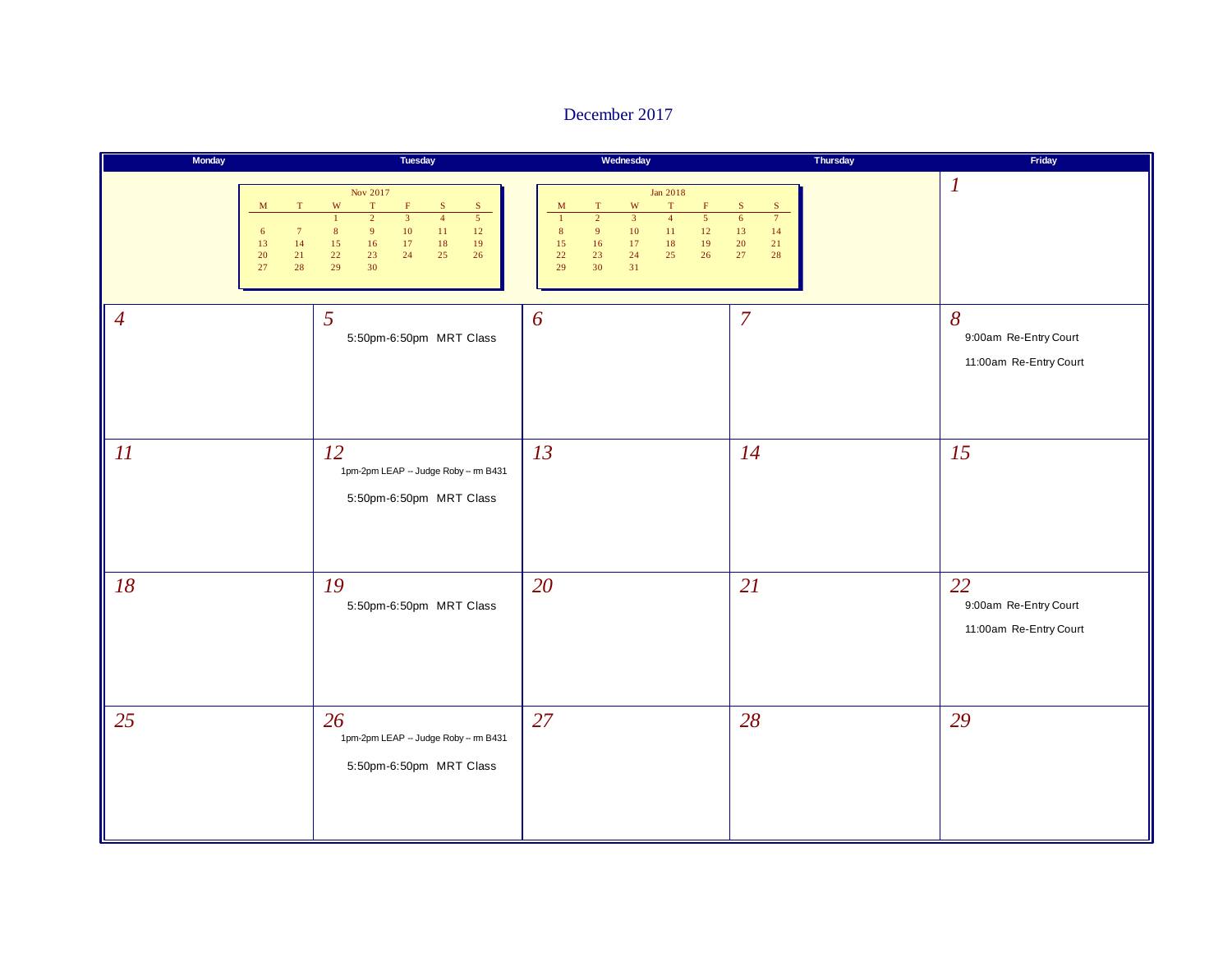### December 2017

| Monday                                                                          | Tuesday                                                                                                                                                                                                                                                                                                              | Wednesday                                                                                                                                                                                                                                                                                                          | Thursday                                                                                     | Friday                                                      |
|---------------------------------------------------------------------------------|----------------------------------------------------------------------------------------------------------------------------------------------------------------------------------------------------------------------------------------------------------------------------------------------------------------------|--------------------------------------------------------------------------------------------------------------------------------------------------------------------------------------------------------------------------------------------------------------------------------------------------------------------|----------------------------------------------------------------------------------------------|-------------------------------------------------------------|
| $_{\rm T}$<br>M<br>$7\phantom{.0}$<br>6<br>13<br>14<br>$21\,$<br>20<br>27<br>28 | Nov 2017<br>$\mathbf{W}$<br>$\mathbf T$<br>$\mathbf{F}$<br>${\bf S}$<br>${\bf S}$<br>$\overline{5}$<br>$\overline{2}$<br>$\overline{4}$<br>$\overline{3}$<br>$\mathbf{1}$<br>9 <sup>°</sup><br>$10\,$<br>$11\,$<br>$12\,$<br>$\bf 8$<br>15<br>16<br>$17\,$<br>$18\,$<br>19<br>22<br>23<br>24<br>25<br>26<br>29<br>30 | Jan 2018<br>$\mathbf W$<br>$\mathbf T$<br>$\mathbf F$<br>$\mathbf M$<br>$\mathbf T$<br>$\overline{2}$<br>$\overline{3}$<br>$\overline{4}$<br>$\overline{5}$<br>$\mathbf{1}$<br>$11\,$<br>$12\,$<br>8<br>9 <sup>°</sup><br>$10\,$<br>$18\,$<br>19<br>15<br>16<br>17<br>26<br>22<br>23<br>24<br>25<br>29<br>30<br>31 | $\mathbf S$<br>S<br>$\overline{7}$<br>$\overline{6}$<br>13<br>14<br>$20\,$<br>21<br>27<br>28 | $\boldsymbol{l}$                                            |
| $\overline{4}$                                                                  | 5<br>5:50pm-6:50pm MRT Class                                                                                                                                                                                                                                                                                         | 6                                                                                                                                                                                                                                                                                                                  | $\overline{7}$                                                                               | $\delta$<br>9:00am Re-Entry Court<br>11:00am Re-Entry Court |
| II                                                                              | 12<br>1pm-2pm LEAP - Judge Roby - m B431<br>5:50pm-6:50pm MRT Class                                                                                                                                                                                                                                                  | 13                                                                                                                                                                                                                                                                                                                 | 14                                                                                           | 15                                                          |
| 18                                                                              | 19<br>5:50pm-6:50pm MRT Class                                                                                                                                                                                                                                                                                        | 20                                                                                                                                                                                                                                                                                                                 | 21                                                                                           | 22<br>9:00am Re-Entry Court<br>11:00am Re-Entry Court       |
| 25                                                                              | 26<br>1pm-2pm LEAP - Judge Roby -- m B431<br>5:50pm-6:50pm MRT Class                                                                                                                                                                                                                                                 | 27                                                                                                                                                                                                                                                                                                                 | 28                                                                                           | 29                                                          |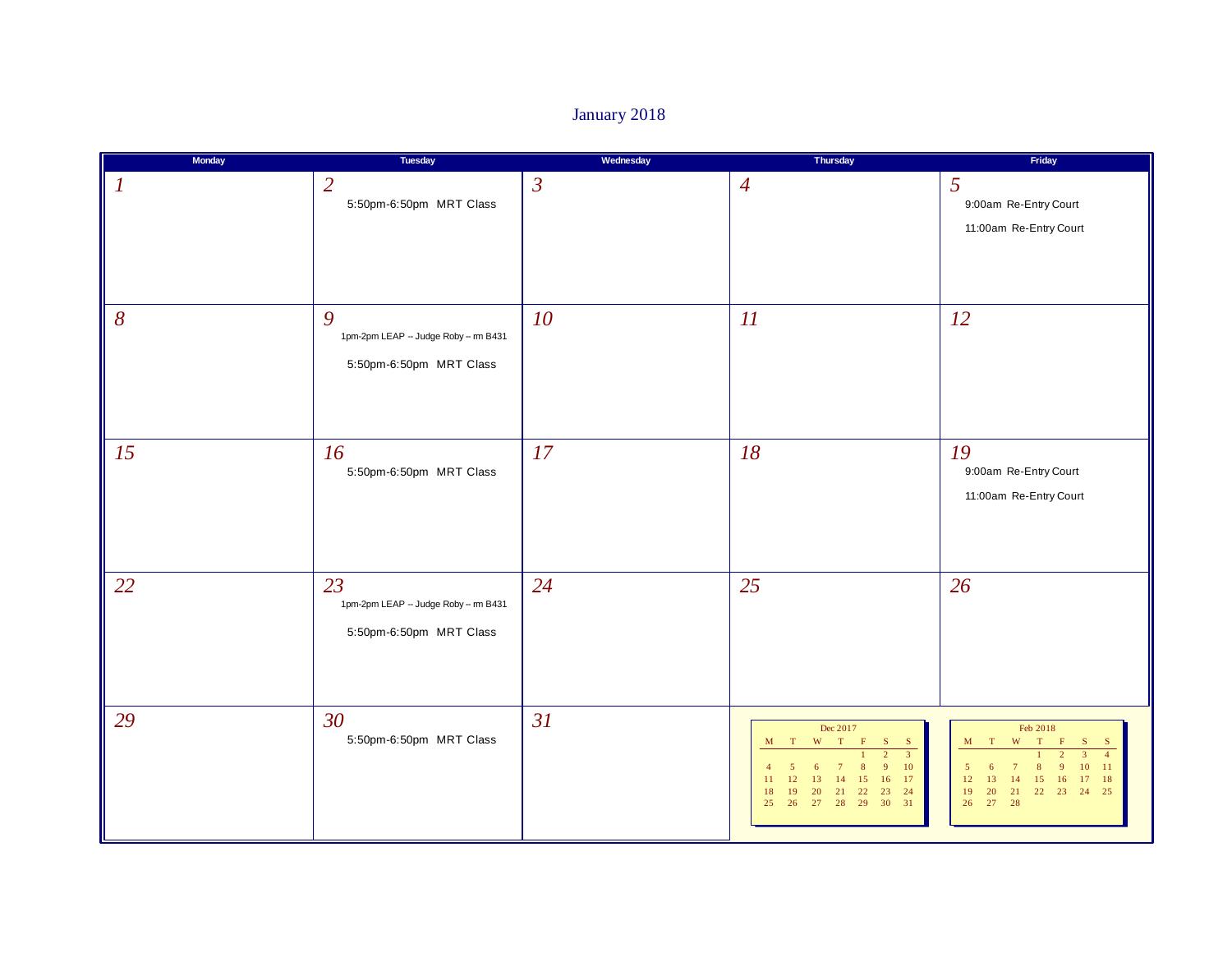## January 2018

| Monday           | Tuesday                                                              | Wednesday      | Thursday                                                                                                                                                                                                                                                                | Friday                                                                                                                                                                                                                  |
|------------------|----------------------------------------------------------------------|----------------|-------------------------------------------------------------------------------------------------------------------------------------------------------------------------------------------------------------------------------------------------------------------------|-------------------------------------------------------------------------------------------------------------------------------------------------------------------------------------------------------------------------|
| $\boldsymbol{l}$ | $\overline{2}$<br>5:50pm-6:50pm MRT Class                            | $\mathfrak{Z}$ | $\overline{4}$                                                                                                                                                                                                                                                          | 5<br>9:00am Re-Entry Court<br>11:00am Re-Entry Court                                                                                                                                                                    |
| 8                | 9<br>1pm-2pm LEAP -- Judge Roby -- m B431<br>5:50pm-6:50pm MRT Class | 10             | 11                                                                                                                                                                                                                                                                      | <i>12</i>                                                                                                                                                                                                               |
| 15               | 16<br>5:50pm-6:50pm MRT Class                                        | 17             | 18                                                                                                                                                                                                                                                                      | 19<br>9:00am Re-Entry Court<br>11:00am Re-Entry Court                                                                                                                                                                   |
| 22               | 23<br>1pm-2pm LEAP - Judge Roby -- m B431<br>5:50pm-6:50pm MRT Class | 24             | 25                                                                                                                                                                                                                                                                      | 26                                                                                                                                                                                                                      |
| 29               | 30<br>5:50pm-6:50pm MRT Class                                        | 31             | Dec 2017<br>$\mathbf{W}$<br>T<br>$\mathbf F$<br>M T<br>S<br>S<br>$\overline{3}$<br>$\mathcal{D}$<br>9<br>10<br>8<br>6<br>$7\phantom{.0}$<br>-5<br>16 17<br>14<br>15<br>12<br>13<br>11<br>21 22<br><b>20</b><br>23 24<br>19<br>18<br>30 31<br>29<br>26<br>27<br>28<br>25 | Feb 2018<br>$\mathbf{W}$<br>T<br>M T<br>$\mathbf F$<br>S<br>- S<br>$\overline{2}$<br>$\mathbf{Q}$<br>8<br>10<br>11<br>6<br>$\overline{7}$<br>15<br>13<br>14<br>16<br>17 18<br>12<br>20 21 22 23 24 25<br>19<br>26 27 28 |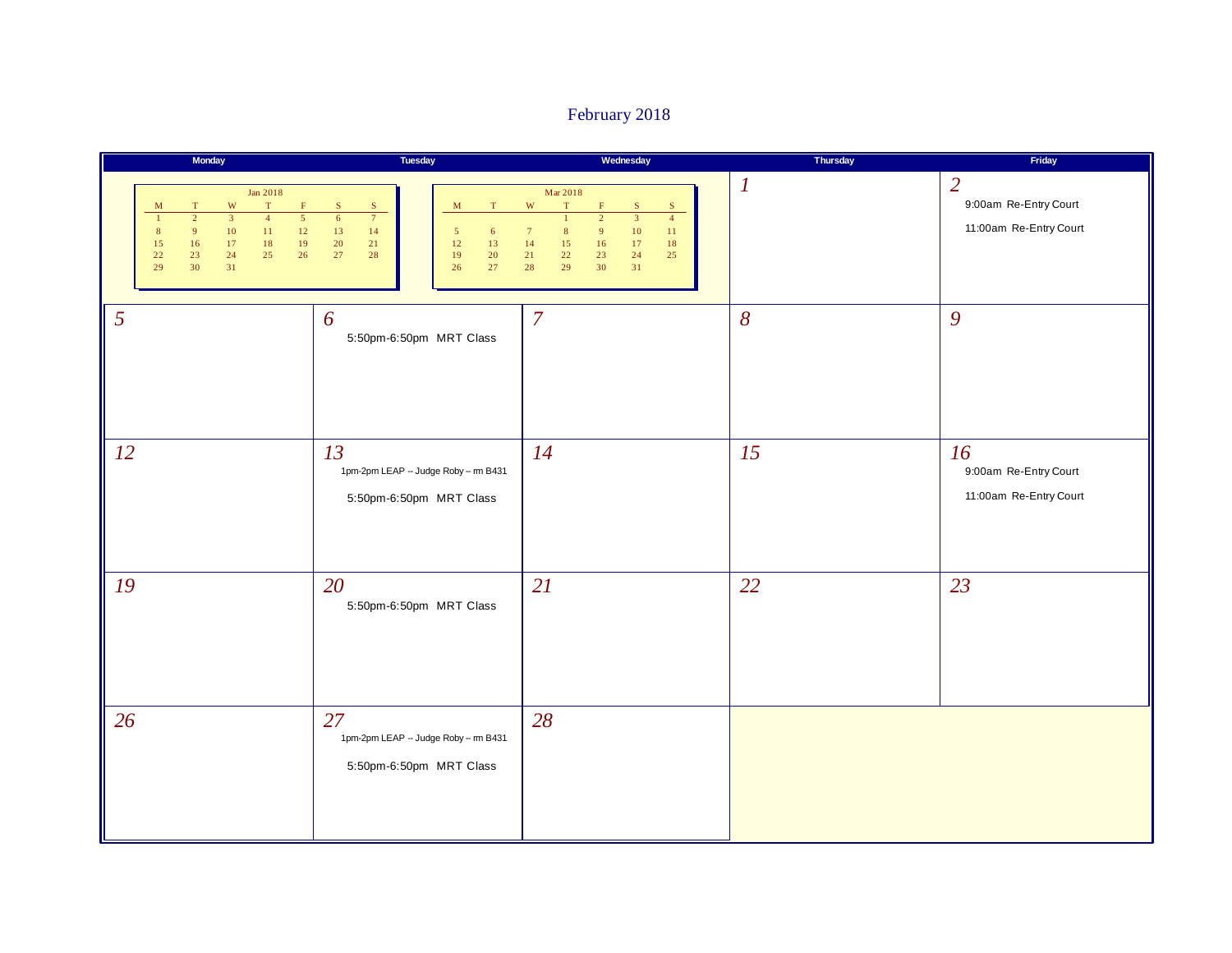## February 2018

|    | Monday                                                                                                                                                                                                                                                                                                             | Tuesday                                                                                                                                                                                                 | Wednesday                                                                                                                                                                                                                                                                                           | Thursday         | Friday                                                            |
|----|--------------------------------------------------------------------------------------------------------------------------------------------------------------------------------------------------------------------------------------------------------------------------------------------------------------------|---------------------------------------------------------------------------------------------------------------------------------------------------------------------------------------------------------|-----------------------------------------------------------------------------------------------------------------------------------------------------------------------------------------------------------------------------------------------------------------------------------------------------|------------------|-------------------------------------------------------------------|
|    | Jan 2018<br>$\mathbf{W}$<br>$\mathbf T$<br>$\mathbf F$<br>$\mathbf M$<br>$\mathbf T$<br>$\overline{3}$<br>$\overline{5}$<br>$\overline{2}$<br>$\overline{4}$<br>$\mathbf{1}$<br>9<br>$10\,$<br>$11\,$<br>$12\,$<br>$\bf 8$<br>$16$<br>17<br>$18\,$<br>19<br>15<br>$23\,$<br>22<br>24<br>25<br>26<br>29<br>30<br>31 | ${\bf S}$<br>$\mathbf S$<br>$\mathbf T$<br>$\mathbf M$<br>$6\overline{}$<br>$\overline{7}$<br>$13\,$<br>14<br>$\sqrt{5}$<br>$6\phantom{.}6$<br>20<br>12<br>21<br>13<br>27<br>19<br>20<br>28<br>26<br>27 | Mar 2018<br>$\ensuremath{\text{W}}$<br>$\mathbf T$<br>${\bf S}$<br>F<br>S<br>$\overline{3}$<br>$\overline{4}$<br>$\mathbf{1}$<br>$\overline{2}$<br>$\bf{8}$<br>10<br>$\overline{7}$<br>9 <sup>°</sup><br>$11\,$<br>14<br>17<br>15<br>16<br>18<br>21<br>22<br>23<br>24<br>25<br>28<br>29<br>30<br>31 | $\boldsymbol{l}$ | $\overline{2}$<br>9:00am Re-Entry Court<br>11:00am Re-Entry Court |
| 5  |                                                                                                                                                                                                                                                                                                                    | 6<br>5:50pm-6:50pm MRT Class                                                                                                                                                                            | $\overline{7}$                                                                                                                                                                                                                                                                                      | $\delta$         | 9                                                                 |
| 12 |                                                                                                                                                                                                                                                                                                                    | 13<br>1pm-2pm LEAP - Judge Roby -- m B431<br>5:50pm-6:50pm MRT Class                                                                                                                                    | 14                                                                                                                                                                                                                                                                                                  | 15               | 16<br>9:00am Re-Entry Court<br>11:00am Re-Entry Court             |
| 19 |                                                                                                                                                                                                                                                                                                                    | 20<br>5:50pm-6:50pm MRT Class                                                                                                                                                                           | 21                                                                                                                                                                                                                                                                                                  | 22               | 23                                                                |
| 26 |                                                                                                                                                                                                                                                                                                                    | 27<br>1pm-2pm LEAP - Judge Roby - m B431<br>5:50pm-6:50pm MRT Class                                                                                                                                     | 28                                                                                                                                                                                                                                                                                                  |                  |                                                                   |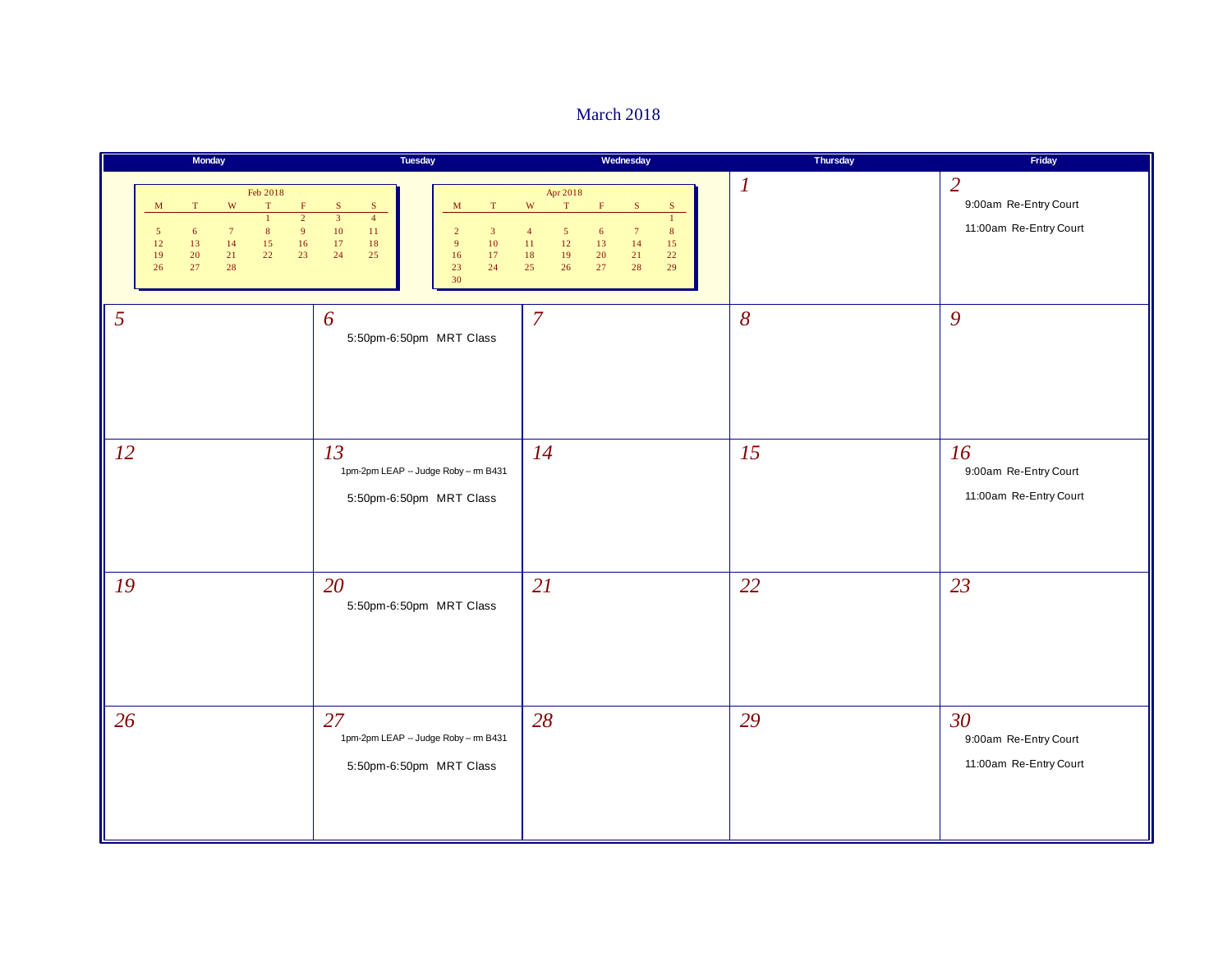#### March 2018

|                                              | Monday                                                                                                                                                                                                                 | Tuesday                                                                                                                                                                                                            | Wednesday                                                                                                                                                                                                                                                          | Thursday         | Friday                                                            |
|----------------------------------------------|------------------------------------------------------------------------------------------------------------------------------------------------------------------------------------------------------------------------|--------------------------------------------------------------------------------------------------------------------------------------------------------------------------------------------------------------------|--------------------------------------------------------------------------------------------------------------------------------------------------------------------------------------------------------------------------------------------------------------------|------------------|-------------------------------------------------------------------|
| $\mathbf{M}$<br>$\sqrt{5}$<br>12<br>19<br>26 | Feb 2018<br>$\mathbf{W}$<br>$\mathbf T$<br>$\mathbf F$<br>T<br>$\overline{2}$<br>$\mathbf{1}$<br>$7\phantom{.0}$<br>$\bf 8$<br>$\overline{9}$<br>6<br>$15\,$<br>13<br>14<br>16<br>22<br>23<br>20<br>$21\,$<br>27<br>28 | ${\bf S}$<br>${\bf S}$<br>T<br>M<br>$\overline{3}$<br>$\overline{4}$<br>$10\,$<br>$11\,$<br>$\overline{2}$<br>$\overline{3}$<br>$17\,$<br>$10\,$<br>18<br>9 <sup>°</sup><br>24<br>17<br>25<br>16<br>23<br>24<br>30 | Apr 2018<br>$\mathbf{W}$<br>$\mathbf T$<br>$\mathbf F$<br>${\bf S}$<br><sub>S</sub><br>$\mathbf{1}$<br>$\sqrt{5}$<br>$7\phantom{.0}$<br>$\overline{4}$<br>8<br>6<br>$11\,$<br>12<br>14<br>15<br>13<br>$22\,$<br>18<br>19<br>20<br>21<br>25<br>26<br>27<br>28<br>29 | $\boldsymbol{l}$ | $\overline{2}$<br>9:00am Re-Entry Court<br>11:00am Re-Entry Court |
| 5                                            |                                                                                                                                                                                                                        | 6<br>5:50pm-6:50pm MRT Class                                                                                                                                                                                       | $\overline{7}$                                                                                                                                                                                                                                                     | $\delta$         | 9                                                                 |
| 12                                           |                                                                                                                                                                                                                        | 13<br>1pm-2pm LEAP - Judge Roby -- m B431<br>5:50pm-6:50pm MRT Class                                                                                                                                               | 14                                                                                                                                                                                                                                                                 | 15               | 16<br>9:00am Re-Entry Court<br>11:00am Re-Entry Court             |
| 19                                           |                                                                                                                                                                                                                        | 20<br>5:50pm-6:50pm MRT Class                                                                                                                                                                                      | 21                                                                                                                                                                                                                                                                 | 22               | 23                                                                |
| 26                                           |                                                                                                                                                                                                                        | 27<br>1pm-2pm LEAP - Judge Roby -- m B431<br>5:50pm-6:50pm MRT Class                                                                                                                                               | 28                                                                                                                                                                                                                                                                 | 29               | 30<br>9:00am Re-Entry Court<br>11:00am Re-Entry Court             |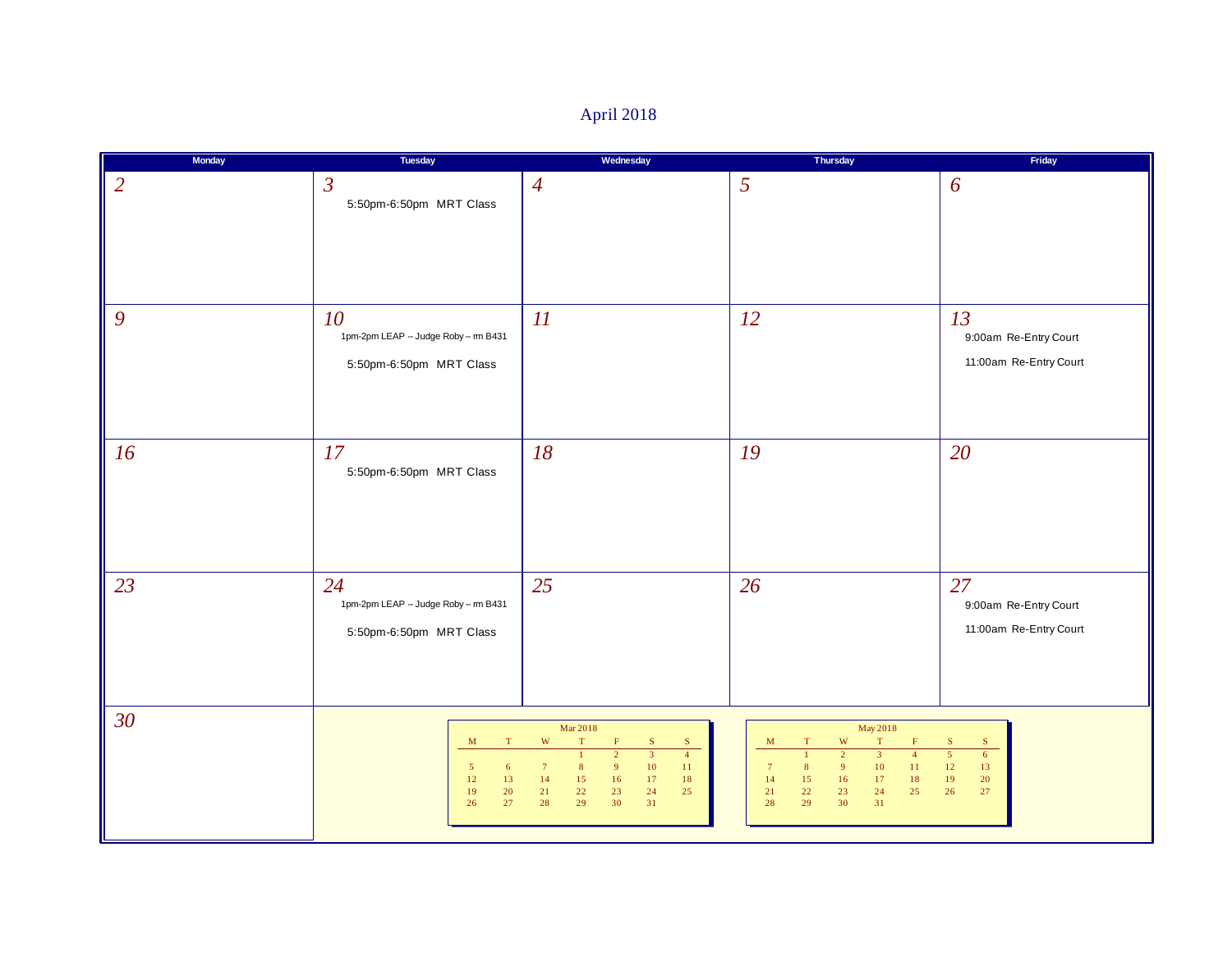| April 2018 |  |
|------------|--|
|------------|--|

| Monday         | Tuesday                                                                                       | Wednesday                                                                                                                                                                                                                                                                             | Thursday                                                                                                                                                                                                                                                              | Friday                                                                                                  |
|----------------|-----------------------------------------------------------------------------------------------|---------------------------------------------------------------------------------------------------------------------------------------------------------------------------------------------------------------------------------------------------------------------------------------|-----------------------------------------------------------------------------------------------------------------------------------------------------------------------------------------------------------------------------------------------------------------------|---------------------------------------------------------------------------------------------------------|
| $\overline{2}$ | $\mathfrak{Z}$<br>5:50pm-6:50pm MRT Class                                                     | $\overline{4}$                                                                                                                                                                                                                                                                        | 5                                                                                                                                                                                                                                                                     | 6                                                                                                       |
| 9              | 10<br>1pm-2pm LEAP - Judge Roby -- m B431<br>5:50pm-6:50pm MRT Class                          | 11                                                                                                                                                                                                                                                                                    | 12                                                                                                                                                                                                                                                                    | 13<br>9:00am Re-Entry Court<br>11:00am Re-Entry Court                                                   |
| 16             | 17<br>5:50pm-6:50pm MRT Class                                                                 | 18                                                                                                                                                                                                                                                                                    | 19                                                                                                                                                                                                                                                                    | 20                                                                                                      |
| 23             | 24<br>1pm-2pm LEAP -- Judge Roby -- m B431<br>5:50pm-6:50pm MRT Class                         | 25                                                                                                                                                                                                                                                                                    | 26                                                                                                                                                                                                                                                                    | 27<br>9:00am Re-Entry Court<br>11:00am Re-Entry Court                                                   |
| 30             | $\mathbf T$<br>M<br>$5\phantom{.0}$<br>$\epsilon$<br>$12\,$<br>$13\,$<br>19<br>20<br>27<br>26 | Mar 2018<br>W<br>$\mathbf T$<br>${\bf S}$<br>$\mathbf S$<br>$\mathbf{F}$<br>$\overline{3}$<br>$\overline{4}$<br>$\overline{2}$<br>$\mathbf{1}$<br>10<br>$\,$ 8 $\,$<br>9<br>11<br>$7\phantom{.0}$<br>14<br>15<br>16<br>17<br>18<br>24<br>21<br>22<br>23<br>25<br>29<br>30<br>31<br>28 | May 2018<br>$\ensuremath{\text{W}}$<br>$\mathbf T$<br>$\mathbf{F}$<br>M<br>T<br>$\overline{2}$<br>$\overline{3}$<br>$\mathbf{1}$<br>$\overline{4}$<br>9<br>10<br>11<br>7<br>8<br>14<br>15<br>16<br>17<br>$18\,$<br>21<br>22<br>23<br>24<br>25<br>29<br>31<br>28<br>30 | $\mathbf S$<br>$\mathbf S$<br>$\overline{5}$<br>$6\overline{6}$<br>$12\,$<br>13<br>20<br>19<br>26<br>27 |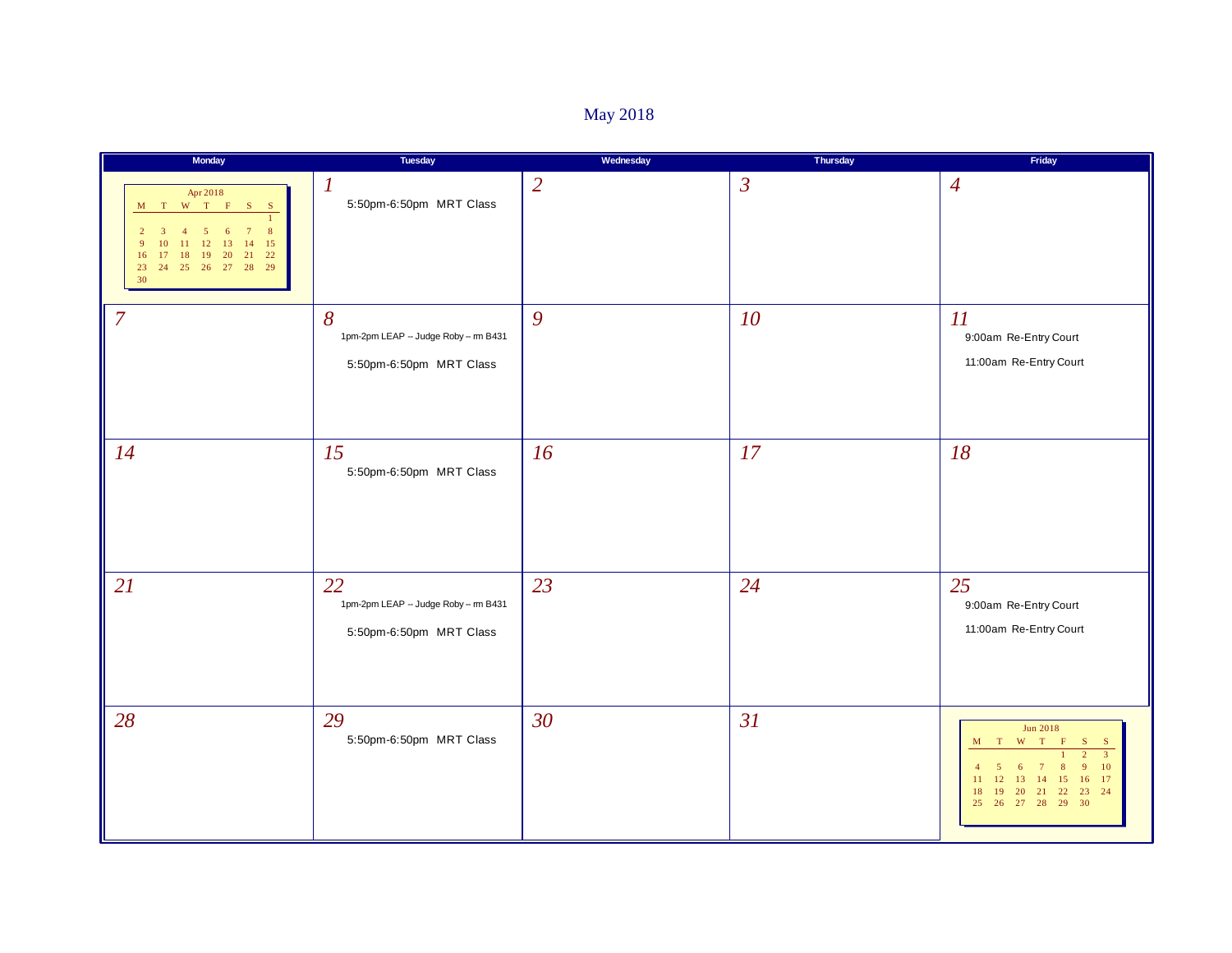# May 2018

| Monday                                                                                                                                                                                                                                                                      | Tuesday                                                              | Wednesday      | Thursday       | Friday                                                                                                                                                                                                                                                                                        |
|-----------------------------------------------------------------------------------------------------------------------------------------------------------------------------------------------------------------------------------------------------------------------------|----------------------------------------------------------------------|----------------|----------------|-----------------------------------------------------------------------------------------------------------------------------------------------------------------------------------------------------------------------------------------------------------------------------------------------|
| Apr 2018<br>$\begin{array}{cccccccccc} \mathbf{M} & \mathbf{T} & \mathbf{W} & \mathbf{T} & \mathbf{F} & \mathbf{S} & \mathbf{S} \end{array}$<br>8<br>5<br>12<br>13<br>14<br>15<br>$\mathbf Q$<br>21 22<br>19<br><b>20</b><br>16<br>18<br>24  25  26  27  28  29<br>23<br>30 | $\boldsymbol{l}$<br>5:50pm-6:50pm MRT Class                          | $\overline{2}$ | $\mathfrak{Z}$ | $\overline{4}$                                                                                                                                                                                                                                                                                |
| $\overline{7}$                                                                                                                                                                                                                                                              | 8<br>1pm-2pm LEAP -- Judge Roby -- m B431<br>5:50pm-6:50pm MRT Class | 9              | 10             | $\overline{\mathfrak{U}}$<br>9:00am Re-Entry Court<br>11:00am Re-Entry Court                                                                                                                                                                                                                  |
| 14                                                                                                                                                                                                                                                                          | 15<br>5:50pm-6:50pm MRT Class                                        | 16             | 17             | 18                                                                                                                                                                                                                                                                                            |
| 21                                                                                                                                                                                                                                                                          | 22<br>1pm-2pm LEAP - Judge Roby - m B431<br>5:50pm-6:50pm MRT Class  | 23             | 24             | 25<br>9:00am Re-Entry Court<br>11:00am Re-Entry Court                                                                                                                                                                                                                                         |
| 28                                                                                                                                                                                                                                                                          | 29<br>5:50pm-6:50pm MRT Class                                        | 30             | 31             | <b>Jun 2018</b><br>$\begin{array}{cccccc} \mathbf{M} & \mathbf{T} & \mathbf{W} & \mathbf{T} & \mathbf{F} \end{array}$<br>$S_{\parallel}$<br><sub>S</sub><br>$\overline{3}$<br>10<br>6<br>17<br>12<br>13<br>14<br>15<br>16<br>11<br>23 24<br>19<br>20<br> 21 <br>22<br>18<br>25 26 27 28 29 30 |